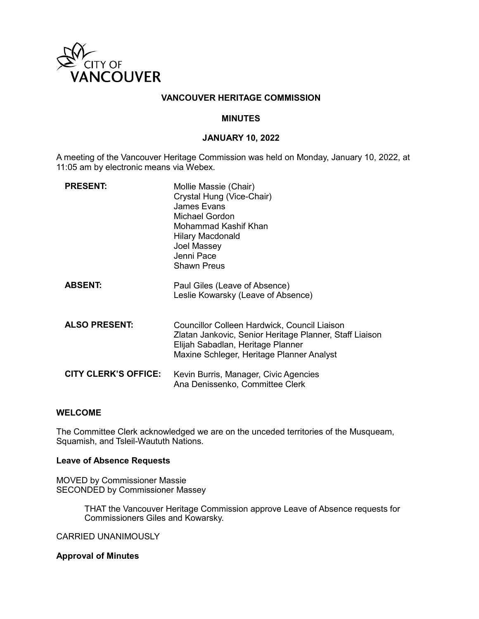

## **VANCOUVER HERITAGE COMMISSION**

### **MINUTES**

## **JANUARY 10, 2022**

A meeting of the Vancouver Heritage Commission was held on Monday, January 10, 2022, at 11:05 am by electronic means via Webex.

| <b>PRESENT:</b>             | Mollie Massie (Chair)<br>Crystal Hung (Vice-Chair)<br>James Evans<br>Michael Gordon<br>Mohammad Kashif Khan<br><b>Hilary Macdonald</b><br>Joel Massey<br>Jenni Pace<br><b>Shawn Preus</b> |
|-----------------------------|-------------------------------------------------------------------------------------------------------------------------------------------------------------------------------------------|
| <b>ABSENT:</b>              | Paul Giles (Leave of Absence)<br>Leslie Kowarsky (Leave of Absence)                                                                                                                       |
| <b>ALSO PRESENT:</b>        | Councillor Colleen Hardwick, Council Liaison<br>Zlatan Jankovic, Senior Heritage Planner, Staff Liaison<br>Elijah Sabadlan, Heritage Planner<br>Maxine Schleger, Heritage Planner Analyst |
| <b>CITY CLERK'S OFFICE:</b> | Kevin Burris, Manager, Civic Agencies<br>Ana Denissenko, Committee Clerk                                                                                                                  |

## **WELCOME**

The Committee Clerk acknowledged we are on the unceded territories of the Musqueam, Squamish, and Tsleil-Waututh Nations.

### **Leave of Absence Requests**

MOVED by Commissioner Massie SECONDED by Commissioner Massey

> THAT the Vancouver Heritage Commission approve Leave of Absence requests for Commissioners Giles and Kowarsky.

CARRIED UNANIMOUSLY

#### **Approval of Minutes**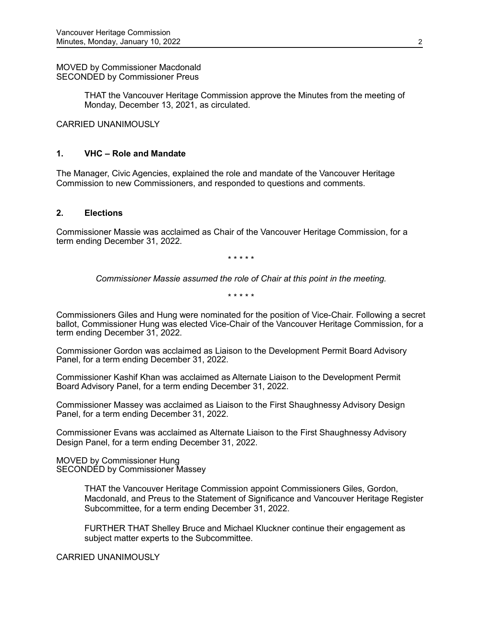MOVED by Commissioner Macdonald SECONDED by Commissioner Preus

> THAT the Vancouver Heritage Commission approve the Minutes from the meeting of Monday, December 13, 2021, as circulated.

CARRIED UNANIMOUSLY

#### **1. VHC – Role and Mandate**

The Manager, Civic Agencies, explained the role and mandate of the Vancouver Heritage Commission to new Commissioners, and responded to questions and comments.

#### **2. Elections**

Commissioner Massie was acclaimed as Chair of the Vancouver Heritage Commission, for a term ending December 31, 2022.

\* \* \* \* \*

*Commissioner Massie assumed the role of Chair at this point in the meeting.*

\* \* \* \* \*

Commissioners Giles and Hung were nominated for the position of Vice-Chair. Following a secret ballot, Commissioner Hung was elected Vice-Chair of the Vancouver Heritage Commission, for a term ending December 31, 2022.

Commissioner Gordon was acclaimed as Liaison to the Development Permit Board Advisory Panel, for a term ending December 31, 2022.

Commissioner Kashif Khan was acclaimed as Alternate Liaison to the Development Permit Board Advisory Panel, for a term ending December 31, 2022.

Commissioner Massey was acclaimed as Liaison to the First Shaughnessy Advisory Design Panel, for a term ending December 31, 2022.

Commissioner Evans was acclaimed as Alternate Liaison to the First Shaughnessy Advisory Design Panel, for a term ending December 31, 2022.

MOVED by Commissioner Hung SECONDED by Commissioner Massey

> THAT the Vancouver Heritage Commission appoint Commissioners Giles, Gordon, Macdonald, and Preus to the Statement of Significance and Vancouver Heritage Register Subcommittee, for a term ending December 31, 2022.

FURTHER THAT Shelley Bruce and Michael Kluckner continue their engagement as subject matter experts to the Subcommittee.

CARRIED UNANIMOUSLY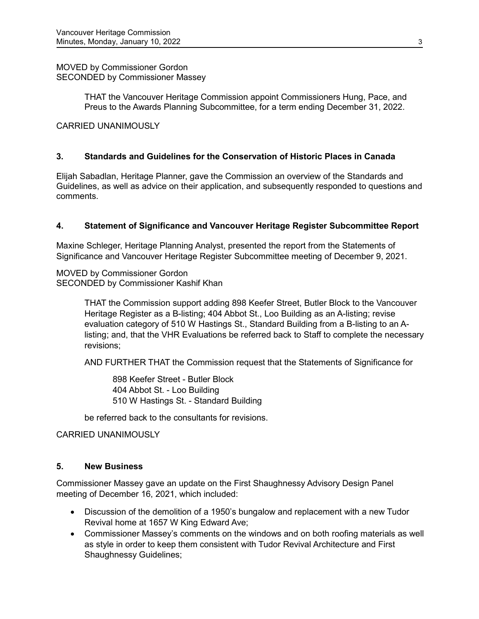# MOVED by Commissioner Gordon SECONDED by Commissioner Massey

THAT the Vancouver Heritage Commission appoint Commissioners Hung, Pace, and Preus to the Awards Planning Subcommittee, for a term ending December 31, 2022.

# CARRIED UNANIMOUSLY

# **3. Standards and Guidelines for the Conservation of Historic Places in Canada**

Elijah Sabadlan, Heritage Planner, gave the Commission an overview of the Standards and Guidelines, as well as advice on their application, and subsequently responded to questions and comments.

# **4. Statement of Significance and Vancouver Heritage Register Subcommittee Report**

Maxine Schleger, Heritage Planning Analyst, presented the report from the Statements of Significance and Vancouver Heritage Register Subcommittee meeting of December 9, 2021.

MOVED by Commissioner Gordon SECONDED by Commissioner Kashif Khan

> THAT the Commission support adding 898 Keefer Street, Butler Block to the Vancouver Heritage Register as a B-listing; 404 Abbot St., Loo Building as an A-listing; revise evaluation category of 510 W Hastings St., Standard Building from a B-listing to an Alisting; and, that the VHR Evaluations be referred back to Staff to complete the necessary revisions;

AND FURTHER THAT the Commission request that the Statements of Significance for

898 Keefer Street - Butler Block 404 Abbot St. - Loo Building 510 W Hastings St. - Standard Building

be referred back to the consultants for revisions.

### CARRIED UNANIMOUSLY

## **5. New Business**

Commissioner Massey gave an update on the First Shaughnessy Advisory Design Panel meeting of December 16, 2021, which included:

- Discussion of the demolition of a 1950's bungalow and replacement with a new Tudor Revival home at 1657 W King Edward Ave;
- Commissioner Massey's comments on the windows and on both roofing materials as well as style in order to keep them consistent with Tudor Revival Architecture and First Shaughnessy Guidelines;